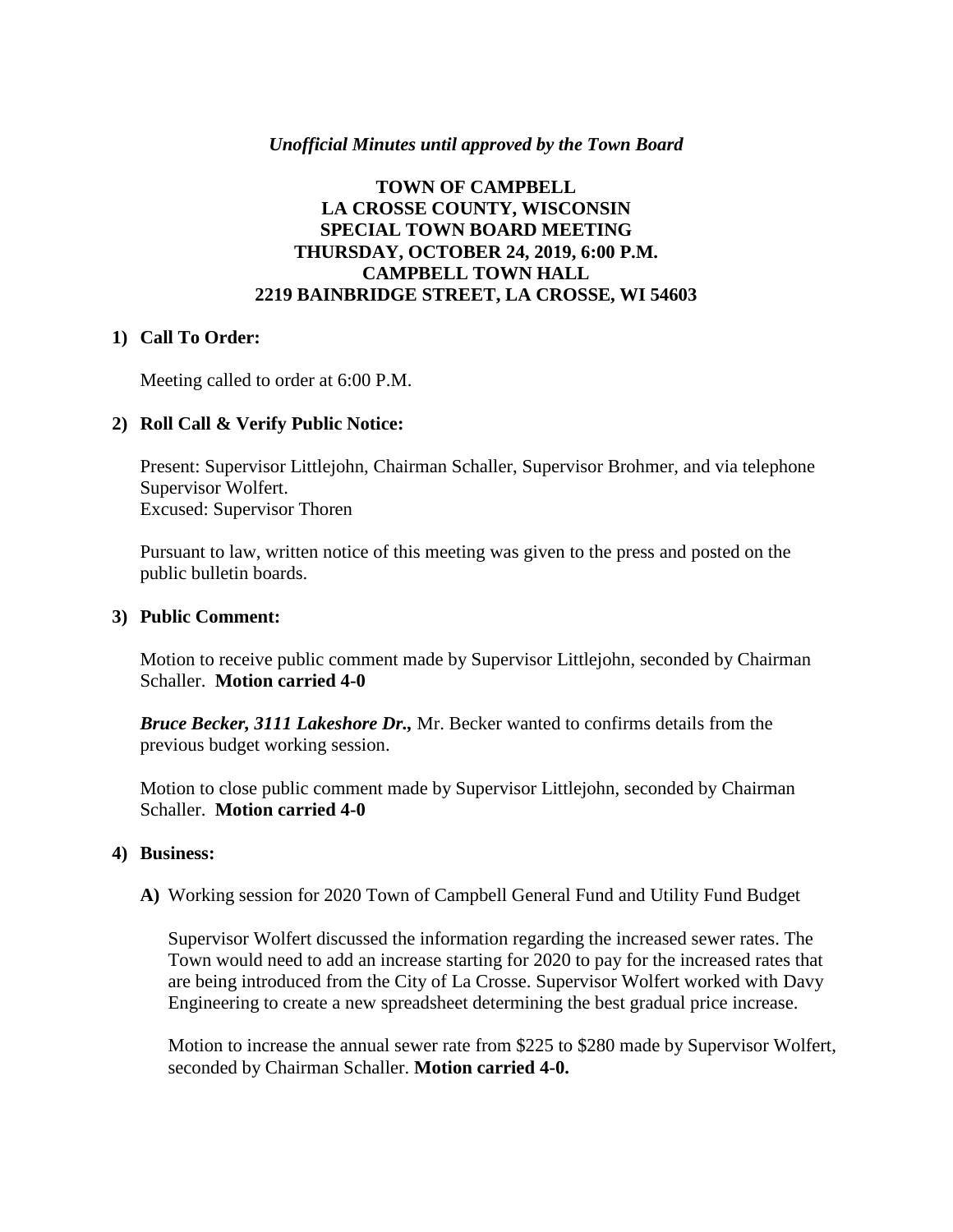## *Unofficial Minutes until approved by the Town Board*

## **TOWN OF CAMPBELL LA CROSSE COUNTY, WISCONSIN SPECIAL TOWN BOARD MEETING THURSDAY, OCTOBER 24, 2019, 6:00 P.M. CAMPBELL TOWN HALL 2219 BAINBRIDGE STREET, LA CROSSE, WI 54603**

## **1) Call To Order:**

Meeting called to order at 6:00 P.M.

## **2) Roll Call & Verify Public Notice:**

Present: Supervisor Littlejohn, Chairman Schaller, Supervisor Brohmer, and via telephone Supervisor Wolfert. Excused: Supervisor Thoren

Pursuant to law, written notice of this meeting was given to the press and posted on the public bulletin boards.

#### **3) Public Comment:**

Motion to receive public comment made by Supervisor Littlejohn, seconded by Chairman Schaller. **Motion carried 4-0**

*Bruce Becker, 3111 Lakeshore Dr.,* Mr. Becker wanted to confirms details from the previous budget working session.

Motion to close public comment made by Supervisor Littlejohn, seconded by Chairman Schaller. **Motion carried 4-0**

#### **4) Business:**

**A)** Working session for 2020 Town of Campbell General Fund and Utility Fund Budget

Supervisor Wolfert discussed the information regarding the increased sewer rates. The Town would need to add an increase starting for 2020 to pay for the increased rates that are being introduced from the City of La Crosse. Supervisor Wolfert worked with Davy Engineering to create a new spreadsheet determining the best gradual price increase.

Motion to increase the annual sewer rate from \$225 to \$280 made by Supervisor Wolfert, seconded by Chairman Schaller. **Motion carried 4-0.**